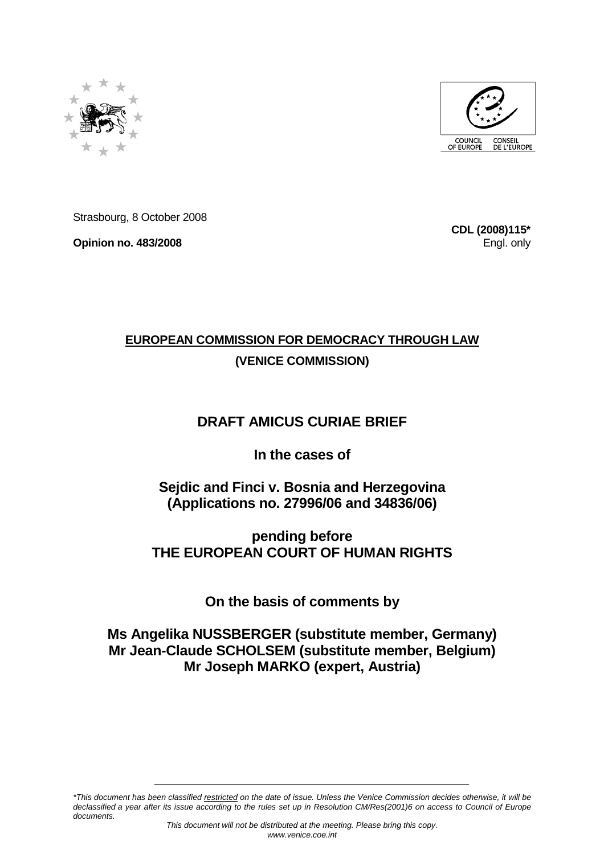



Strasbourg, 8 October 2008

**Opinion no. 483/2008** 

**CDL (2008)115\*** Engl. only

# **EUROPEAN COMMISSION FOR DEMOCRACY THROUGH LAW (VENICE COMMISSION)**

## **DRAFT AMICUS CURIAE BRIEF**

### **In the cases of**

**Sejdic and Finci v. Bosnia and Herzegovina (Applications no. 27996/06 and 34836/06)** 

**pending before THE EUROPEAN COURT OF HUMAN RIGHTS** 

**On the basis of comments by** 

### **Ms Angelika NUSSBERGER (substitute member, Germany) Mr Jean-Claude SCHOLSEM (substitute member, Belgium) Mr Joseph MARKO (expert, Austria)**

\*This document has been classified restricted on the date of issue. Unless the Venice Commission decides otherwise, it will be declassified a year after its issue according to the rules set up in Resolution CM/Res(2001)6 on access to Council of Europe documents.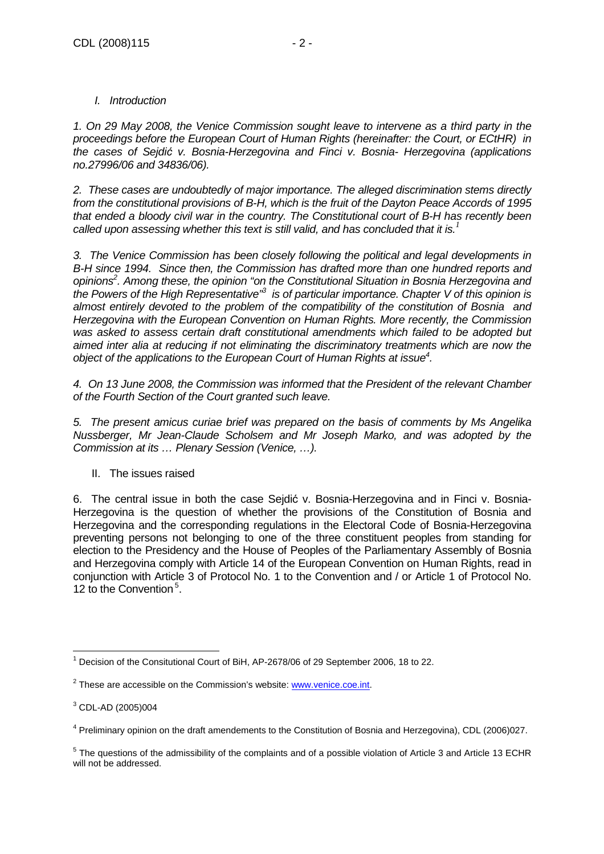### I. Introduction

1. On 29 May 2008, the Venice Commission sought leave to intervene as a third party in the proceedings before the European Court of Human Rights (hereinafter: the Court, or ECtHR) in the cases of Sejdić v. Bosnia-Herzegovina and Finci v. Bosnia- Herzegovina (applications no.27996/06 and 34836/06).

2. These cases are undoubtedly of major importance. The alleged discrimination stems directly from the constitutional provisions of B-H, which is the fruit of the Dayton Peace Accords of 1995 that ended a bloody civil war in the country. The Constitutional court of B-H has recently been called upon assessing whether this text is still valid, and has concluded that it is.*<sup>1</sup>*

3. The Venice Commission has been closely following the political and legal developments in B-H since 1994. Since then, the Commission has drafted more than one hundred reports and opinions<sup>2</sup>. Among these, the opinion "on the Constitutional Situation in Bosnia Herzegovina and the Powers of the High Representative<sup>33</sup> is of particular importance. Chapter V of this opinion is almost entirely devoted to the problem of the compatibility of the constitution of Bosnia and Herzegovina with the European Convention on Human Rights. More recently, the Commission was asked to assess certain draft constitutional amendments which failed to be adopted but aimed inter alia at reducing if not eliminating the discriminatory treatments which are now the object of the applications to the European Court of Human Rights at issue<sup>4</sup>.

4. On 13 June 2008, the Commission was informed that the President of the relevant Chamber of the Fourth Section of the Court granted such leave.

5. The present amicus curiae brief was prepared on the basis of comments by Ms Angelika Nussberger, Mr Jean-Claude Scholsem and Mr Joseph Marko, and was adopted by the Commission at its … Plenary Session (Venice, …).

II. The issues raised

6. The central issue in both the case Sejdić v. Bosnia-Herzegovina and in Finci v. Bosnia-Herzegovina is the question of whether the provisions of the Constitution of Bosnia and Herzegovina and the corresponding regulations in the Electoral Code of Bosnia-Herzegovina preventing persons not belonging to one of the three constituent peoples from standing for election to the Presidency and the House of Peoples of the Parliamentary Assembly of Bosnia and Herzegovina comply with Article 14 of the European Convention on Human Rights, read in conjunction with Article 3 of Protocol No. 1 to the Convention and / or Article 1 of Protocol No. 12 to the Convention<sup>5</sup>.

 $\overline{a}$ <sup>1</sup> Decision of the Consitutional Court of BiH, AP-2678/06 of 29 September 2006, 18 to 22.

<sup>&</sup>lt;sup>2</sup> These are accessible on the Commission's website: **www.venice.coe.int.** 

 $^3$  CDL-AD (2005)004

<sup>&</sup>lt;sup>4</sup> Preliminary opinion on the draft amendements to the Constitution of Bosnia and Herzegovina), CDL (2006)027.

 $<sup>5</sup>$  The questions of the admissibility of the complaints and of a possible violation of Article 3 and Article 13 ECHR</sup> will not be addressed.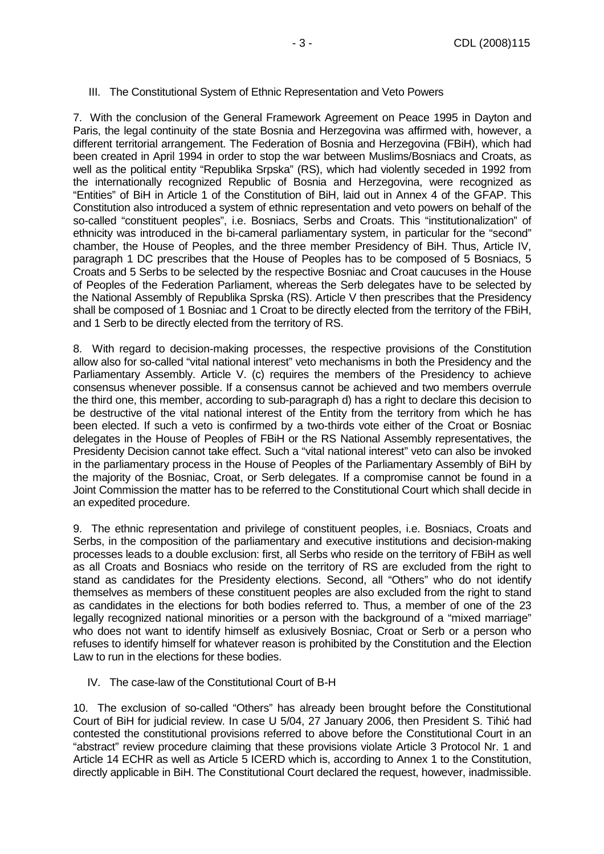#### III. The Constitutional System of Ethnic Representation and Veto Powers

7. With the conclusion of the General Framework Agreement on Peace 1995 in Dayton and Paris, the legal continuity of the state Bosnia and Herzegovina was affirmed with, however, a different territorial arrangement. The Federation of Bosnia and Herzegovina (FBiH), which had been created in April 1994 in order to stop the war between Muslims/Bosniacs and Croats, as well as the political entity "Republika Srpska" (RS), which had violently seceded in 1992 from the internationally recognized Republic of Bosnia and Herzegovina, were recognized as "Entities" of BiH in Article 1 of the Constitution of BiH, laid out in Annex 4 of the GFAP. This Constitution also introduced a system of ethnic representation and veto powers on behalf of the so-called "constituent peoples", i.e. Bosniacs, Serbs and Croats. This "institutionalization" of ethnicity was introduced in the bi-cameral parliamentary system, in particular for the "second" chamber, the House of Peoples, and the three member Presidency of BiH. Thus, Article IV, paragraph 1 DC prescribes that the House of Peoples has to be composed of 5 Bosniacs, 5 Croats and 5 Serbs to be selected by the respective Bosniac and Croat caucuses in the House of Peoples of the Federation Parliament, whereas the Serb delegates have to be selected by the National Assembly of Republika Sprska (RS). Article V then prescribes that the Presidency shall be composed of 1 Bosniac and 1 Croat to be directly elected from the territory of the FBiH, and 1 Serb to be directly elected from the territory of RS.

8. With regard to decision-making processes, the respective provisions of the Constitution allow also for so-called "vital national interest" veto mechanisms in both the Presidency and the Parliamentary Assembly. Article V. (c) requires the members of the Presidency to achieve consensus whenever possible. If a consensus cannot be achieved and two members overrule the third one, this member, according to sub-paragraph d) has a right to declare this decision to be destructive of the vital national interest of the Entity from the territory from which he has been elected. If such a veto is confirmed by a two-thirds vote either of the Croat or Bosniac delegates in the House of Peoples of FBiH or the RS National Assembly representatives, the Presidenty Decision cannot take effect. Such a "vital national interest" veto can also be invoked in the parliamentary process in the House of Peoples of the Parliamentary Assembly of BiH by the majority of the Bosniac, Croat, or Serb delegates. If a compromise cannot be found in a Joint Commission the matter has to be referred to the Constitutional Court which shall decide in an expedited procedure.

9. The ethnic representation and privilege of constituent peoples, i.e. Bosniacs, Croats and Serbs, in the composition of the parliamentary and executive institutions and decision-making processes leads to a double exclusion: first, all Serbs who reside on the territory of FBiH as well as all Croats and Bosniacs who reside on the territory of RS are excluded from the right to stand as candidates for the Presidenty elections. Second, all "Others" who do not identify themselves as members of these constituent peoples are also excluded from the right to stand as candidates in the elections for both bodies referred to. Thus, a member of one of the 23 legally recognized national minorities or a person with the background of a "mixed marriage" who does not want to identify himself as exlusively Bosniac, Croat or Serb or a person who refuses to identify himself for whatever reason is prohibited by the Constitution and the Election Law to run in the elections for these bodies.

#### IV. The case-law of the Constitutional Court of B-H

10. The exclusion of so-called "Others" has already been brought before the Constitutional Court of BiH for judicial review. In case U 5/04, 27 January 2006, then President S. Tihić had contested the constitutional provisions referred to above before the Constitutional Court in an "abstract" review procedure claiming that these provisions violate Article 3 Protocol Nr. 1 and Article 14 ECHR as well as Article 5 ICERD which is, according to Annex 1 to the Constitution, directly applicable in BiH. The Constitutional Court declared the request, however, inadmissible.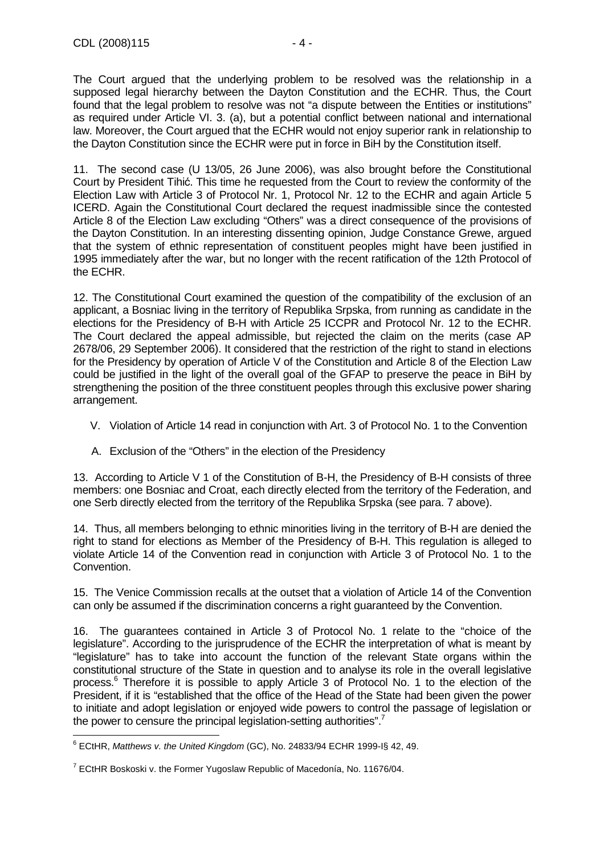The Court argued that the underlying problem to be resolved was the relationship in a supposed legal hierarchy between the Dayton Constitution and the ECHR. Thus, the Court found that the legal problem to resolve was not "a dispute between the Entities or institutions" as required under Article VI. 3. (a), but a potential conflict between national and international law. Moreover, the Court argued that the ECHR would not enjoy superior rank in relationship to the Dayton Constitution since the ECHR were put in force in BiH by the Constitution itself.

11. The second case (U 13/05, 26 June 2006), was also brought before the Constitutional Court by President Tihić. This time he requested from the Court to review the conformity of the Election Law with Article 3 of Protocol Nr. 1, Protocol Nr. 12 to the ECHR and again Article 5 ICERD. Again the Constitutional Court declared the request inadmissible since the contested Article 8 of the Election Law excluding "Others" was a direct consequence of the provisions of the Dayton Constitution. In an interesting dissenting opinion, Judge Constance Grewe, argued that the system of ethnic representation of constituent peoples might have been justified in 1995 immediately after the war, but no longer with the recent ratification of the 12th Protocol of the ECHR.

12. The Constitutional Court examined the question of the compatibility of the exclusion of an applicant, a Bosniac living in the territory of Republika Srpska, from running as candidate in the elections for the Presidency of B-H with Article 25 ICCPR and Protocol Nr. 12 to the ECHR. The Court declared the appeal admissible, but rejected the claim on the merits (case AP 2678/06, 29 September 2006). It considered that the restriction of the right to stand in elections for the Presidency by operation of Article V of the Constitution and Article 8 of the Election Law could be justified in the light of the overall goal of the GFAP to preserve the peace in BiH by strengthening the position of the three constituent peoples through this exclusive power sharing arrangement.

- V. Violation of Article 14 read in conjunction with Art. 3 of Protocol No. 1 to the Convention
- A. Exclusion of the "Others" in the election of the Presidency

13. According to Article V 1 of the Constitution of B-H, the Presidency of B-H consists of three members: one Bosniac and Croat, each directly elected from the territory of the Federation, and one Serb directly elected from the territory of the Republika Srpska (see para. 7 above).

14. Thus, all members belonging to ethnic minorities living in the territory of B-H are denied the right to stand for elections as Member of the Presidency of B-H. This regulation is alleged to violate Article 14 of the Convention read in conjunction with Article 3 of Protocol No. 1 to the Convention.

15. The Venice Commission recalls at the outset that a violation of Article 14 of the Convention can only be assumed if the discrimination concerns a right guaranteed by the Convention.

16. The guarantees contained in Article 3 of Protocol No. 1 relate to the "choice of the legislature". According to the jurisprudence of the ECHR the interpretation of what is meant by "legislature" has to take into account the function of the relevant State organs within the constitutional structure of the State in question and to analyse its role in the overall legislative process.<sup>6</sup> Therefore it is possible to apply Article 3 of Protocol No. 1 to the election of the President, if it is "established that the office of the Head of the State had been given the power to initiate and adopt legislation or enjoyed wide powers to control the passage of legislation or the power to censure the principal legislation-setting authorities".<sup>7</sup>

 $\overline{a}$  $6$  ECtHR, Matthews v. the United Kingdom (GC), No. 24833/94 ECHR 1999-I§ 42, 49.

 $^7$  ECtHR Boskoski v. the Former Yugoslaw Republic of Macedonía, No. 11676/04.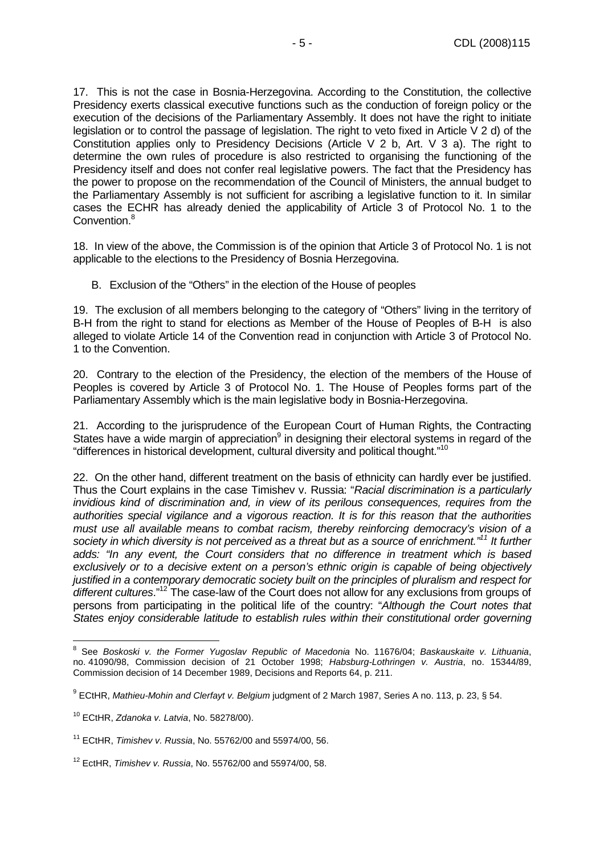17. This is not the case in Bosnia-Herzegovina. According to the Constitution, the collective Presidency exerts classical executive functions such as the conduction of foreign policy or the execution of the decisions of the Parliamentary Assembly. It does not have the right to initiate legislation or to control the passage of legislation. The right to veto fixed in Article V 2 d) of the Constitution applies only to Presidency Decisions (Article V 2 b, Art. V 3 a). The right to determine the own rules of procedure is also restricted to organising the functioning of the Presidency itself and does not confer real legislative powers. The fact that the Presidency has the power to propose on the recommendation of the Council of Ministers, the annual budget to the Parliamentary Assembly is not sufficient for ascribing a legislative function to it. In similar cases the ECHR has already denied the applicability of Article 3 of Protocol No. 1 to the Convention.<sup>8</sup>

18. In view of the above, the Commission is of the opinion that Article 3 of Protocol No. 1 is not applicable to the elections to the Presidency of Bosnia Herzegovina.

B. Exclusion of the "Others" in the election of the House of peoples

19. The exclusion of all members belonging to the category of "Others" living in the territory of B-H from the right to stand for elections as Member of the House of Peoples of B-H is also alleged to violate Article 14 of the Convention read in conjunction with Article 3 of Protocol No. 1 to the Convention.

20. Contrary to the election of the Presidency, the election of the members of the House of Peoples is covered by Article 3 of Protocol No. 1. The House of Peoples forms part of the Parliamentary Assembly which is the main legislative body in Bosnia-Herzegovina.

21. According to the jurisprudence of the European Court of Human Rights, the Contracting States have a wide margin of appreciation<sup>9</sup> in designing their electoral systems in regard of the "differences in historical development, cultural diversity and political thought."<sup>10</sup>

22. On the other hand, different treatment on the basis of ethnicity can hardly ever be justified. Thus the Court explains in the case Timishev v. Russia: "Racial discrimination is a particularly invidious kind of discrimination and, in view of its perilous consequences, requires from the authorities special vigilance and a vigorous reaction. It is for this reason that the authorities must use all available means to combat racism, thereby reinforcing democracy's vision of a society in which diversity is not perceived as a threat but as a source of enrichment."<sup>11</sup> It further adds: "In any event, the Court considers that no difference in treatment which is based exclusively or to a decisive extent on a person's ethnic origin is capable of being objectively justified in a contemporary democratic society built on the principles of pluralism and respect for different cultures."<sup>12</sup> The case-law of the Court does not allow for any exclusions from groups of persons from participating in the political life of the country: "Although the Court notes that States enjoy considerable latitude to establish rules within their constitutional order governing

 8 See Boskoski v. the Former Yugoslav Republic of Macedonia No. 11676/04; Baskauskaite v. Lithuania, no. 41090/98, Commission decision of 21 October 1998; Habsburg-Lothringen v. Austria, no. 15344/89, Commission decision of 14 December 1989, Decisions and Reports 64, p. 211.

 $^9$  ECtHR, Mathieu-Mohin and Clerfayt v. Belgium judgment of 2 March 1987, Series A no. 113, p. 23, § 54.

<sup>10</sup> ECtHR, Zdanoka v. Latvia, No. 58278/00).

 $11$  ECtHR, Timishev v. Russia, No. 55762/00 and 55974/00, 56.

 $12$  EctHR, Timishev v. Russia, No. 55762/00 and 55974/00, 58.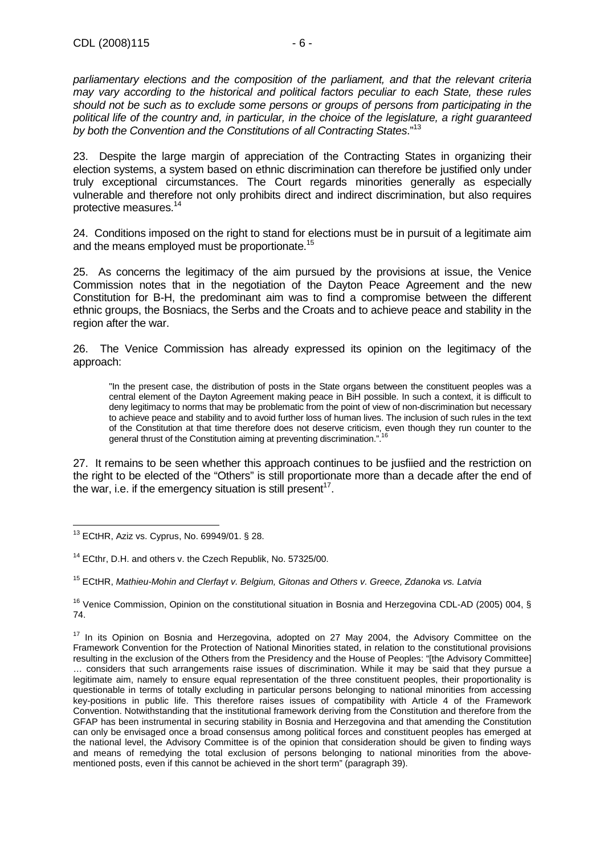parliamentary elections and the composition of the parliament, and that the relevant criteria may vary according to the historical and political factors peculiar to each State, these rules should not be such as to exclude some persons or groups of persons from participating in the political life of the country and, in particular, in the choice of the legislature, a right guaranteed by both the Convention and the Constitutions of all Contracting States."<sup>13</sup>

23. Despite the large margin of appreciation of the Contracting States in organizing their election systems, a system based on ethnic discrimination can therefore be justified only under truly exceptional circumstances. The Court regards minorities generally as especially vulnerable and therefore not only prohibits direct and indirect discrimination, but also requires protective measures.<sup>14</sup>

24. Conditions imposed on the right to stand for elections must be in pursuit of a legitimate aim and the means employed must be proportionate.<sup>15</sup>

25. As concerns the legitimacy of the aim pursued by the provisions at issue, the Venice Commission notes that in the negotiation of the Dayton Peace Agreement and the new Constitution for B-H, the predominant aim was to find a compromise between the different ethnic groups, the Bosniacs, the Serbs and the Croats and to achieve peace and stability in the region after the war.

26. The Venice Commission has already expressed its opinion on the legitimacy of the approach:

"In the present case, the distribution of posts in the State organs between the constituent peoples was a central element of the Dayton Agreement making peace in BiH possible. In such a context, it is difficult to deny legitimacy to norms that may be problematic from the point of view of non-discrimination but necessary to achieve peace and stability and to avoid further loss of human lives. The inclusion of such rules in the text of the Constitution at that time therefore does not deserve criticism, even though they run counter to the general thrust of the Constitution aiming at preventing discrimination."

27. It remains to be seen whether this approach continues to be jusfiied and the restriction on the right to be elected of the "Others" is still proportionate more than a decade after the end of the war, i.e. if the emergency situation is still present<sup>17</sup>.

 $\overline{a}$  $13$  ECtHR, Aziz vs. Cyprus, No. 69949/01. § 28.

<sup>&</sup>lt;sup>14</sup> ECthr, D.H. and others v. the Czech Republik, No. 57325/00.

<sup>&</sup>lt;sup>15</sup> ECtHR, Mathieu-Mohin and Clerfayt v. Belgium, Gitonas and Others v. Greece, Zdanoka vs. Latvia

<sup>&</sup>lt;sup>16</sup> Venice Commission, Opinion on the constitutional situation in Bosnia and Herzegovina CDL-AD (2005) 004, § 74.

<sup>&</sup>lt;sup>17</sup> In its Opinion on Bosnia and Herzegovina, adopted on 27 May 2004, the Advisory Committee on the Framework Convention for the Protection of National Minorities stated, in relation to the constitutional provisions resulting in the exclusion of the Others from the Presidency and the House of Peoples: "[the Advisory Committee] … considers that such arrangements raise issues of discrimination. While it may be said that they pursue a legitimate aim, namely to ensure equal representation of the three constituent peoples, their proportionality is questionable in terms of totally excluding in particular persons belonging to national minorities from accessing key-positions in public life. This therefore raises issues of compatibility with Article 4 of the Framework Convention. Notwithstanding that the institutional framework deriving from the Constitution and therefore from the GFAP has been instrumental in securing stability in Bosnia and Herzegovina and that amending the Constitution can only be envisaged once a broad consensus among political forces and constituent peoples has emerged at the national level, the Advisory Committee is of the opinion that consideration should be given to finding ways and means of remedying the total exclusion of persons belonging to national minorities from the abovementioned posts, even if this cannot be achieved in the short term" (paragraph 39).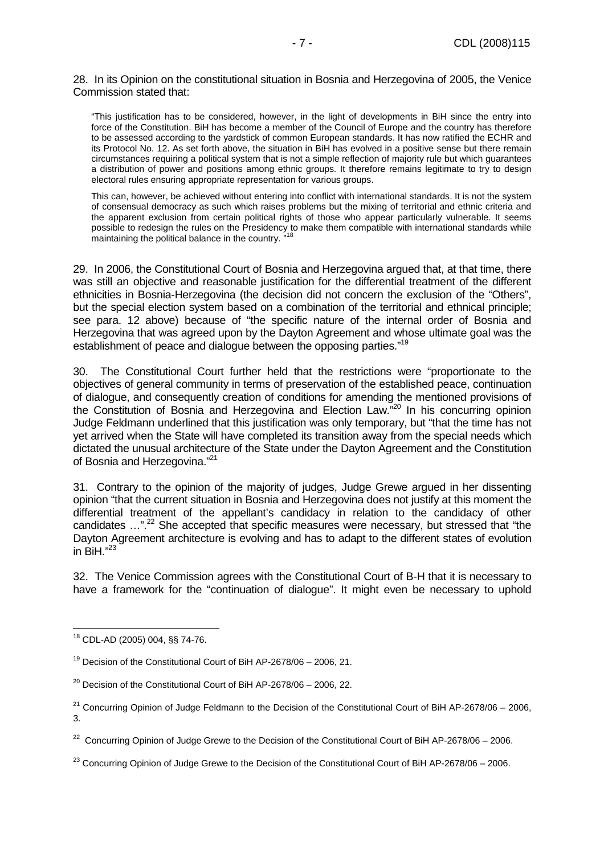28. In its Opinion on the constitutional situation in Bosnia and Herzegovina of 2005, the Venice Commission stated that:

"This justification has to be considered, however, in the light of developments in BiH since the entry into force of the Constitution. BiH has become a member of the Council of Europe and the country has therefore to be assessed according to the yardstick of common European standards. It has now ratified the ECHR and its Protocol No. 12. As set forth above, the situation in BiH has evolved in a positive sense but there remain circumstances requiring a political system that is not a simple reflection of majority rule but which guarantees a distribution of power and positions among ethnic groups. It therefore remains legitimate to try to design electoral rules ensuring appropriate representation for various groups.

This can, however, be achieved without entering into conflict with international standards. It is not the system of consensual democracy as such which raises problems but the mixing of territorial and ethnic criteria and the apparent exclusion from certain political rights of those who appear particularly vulnerable. It seems possible to redesign the rules on the Presidency to make them compatible with international standards while maintaining the political balance in the country.<sup>3</sup>

29. In 2006, the Constitutional Court of Bosnia and Herzegovina argued that, at that time, there was still an objective and reasonable justification for the differential treatment of the different ethnicities in Bosnia-Herzegovina (the decision did not concern the exclusion of the "Others", but the special election system based on a combination of the territorial and ethnical principle; see para. 12 above) because of "the specific nature of the internal order of Bosnia and Herzegovina that was agreed upon by the Dayton Agreement and whose ultimate goal was the establishment of peace and dialogue between the opposing parties."<sup>19</sup>

30. The Constitutional Court further held that the restrictions were "proportionate to the objectives of general community in terms of preservation of the established peace, continuation of dialogue, and consequently creation of conditions for amending the mentioned provisions of the Constitution of Bosnia and Herzegovina and Election Law."<sup>20</sup> In his concurring opinion Judge Feldmann underlined that this justification was only temporary, but "that the time has not yet arrived when the State will have completed its transition away from the special needs which dictated the unusual architecture of the State under the Dayton Agreement and the Constitution of Bosnia and Herzegovina."<sup>21</sup>

31. Contrary to the opinion of the majority of judges, Judge Grewe argued in her dissenting opinion "that the current situation in Bosnia and Herzegovina does not justify at this moment the differential treatment of the appellant's candidacy in relation to the candidacy of other candidates ...".<sup>22</sup> She accepted that specific measures were necessary, but stressed that "the Dayton Agreement architecture is evolving and has to adapt to the different states of evolution in  $\mathrm{BiH}$ ."23

32. The Venice Commission agrees with the Constitutional Court of B-H that it is necessary to have a framework for the "continuation of dialogue". It might even be necessary to uphold

 $\overline{a}$ <sup>18</sup> CDL-AD (2005) 004, §§ 74-76.

 $19$  Decision of the Constitutional Court of BiH AP-2678/06 – 2006, 21.

 $20$  Decision of the Constitutional Court of BiH AP-2678/06 - 2006, 22.

 $21$  Concurring Opinion of Judge Feldmann to the Decision of the Constitutional Court of BiH AP-2678/06 – 2006, 3.

<sup>&</sup>lt;sup>22</sup> Concurring Opinion of Judge Grewe to the Decision of the Constitutional Court of BiH AP-2678/06 – 2006.

 $^{23}$  Concurring Opinion of Judge Grewe to the Decision of the Constitutional Court of BiH AP-2678/06 – 2006.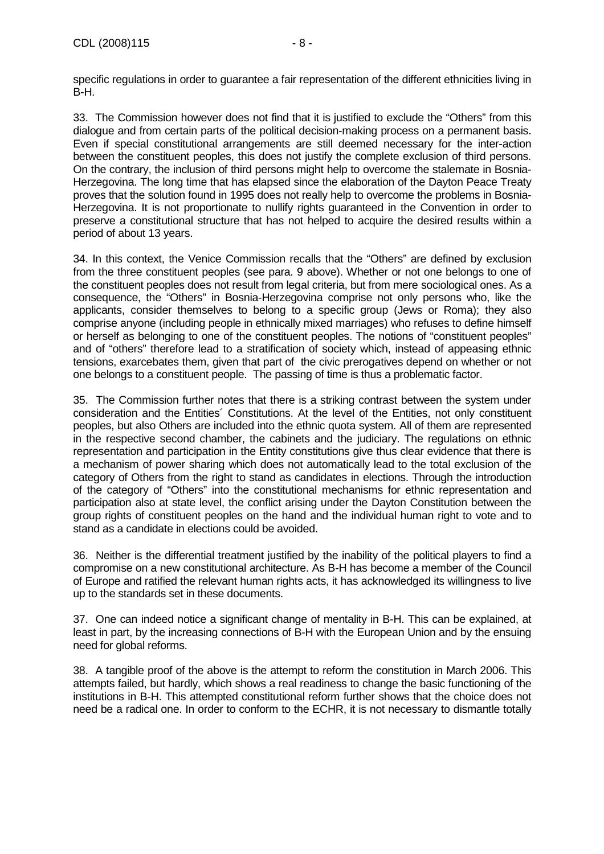specific regulations in order to guarantee a fair representation of the different ethnicities living in B-H.

33. The Commission however does not find that it is justified to exclude the "Others" from this dialogue and from certain parts of the political decision-making process on a permanent basis. Even if special constitutional arrangements are still deemed necessary for the inter-action between the constituent peoples, this does not justify the complete exclusion of third persons. On the contrary, the inclusion of third persons might help to overcome the stalemate in Bosnia-Herzegovina. The long time that has elapsed since the elaboration of the Dayton Peace Treaty proves that the solution found in 1995 does not really help to overcome the problems in Bosnia-Herzegovina. It is not proportionate to nullify rights guaranteed in the Convention in order to preserve a constitutional structure that has not helped to acquire the desired results within a period of about 13 years.

34. In this context, the Venice Commission recalls that the "Others" are defined by exclusion from the three constituent peoples (see para. 9 above). Whether or not one belongs to one of the constituent peoples does not result from legal criteria, but from mere sociological ones. As a consequence, the "Others" in Bosnia-Herzegovina comprise not only persons who, like the applicants, consider themselves to belong to a specific group (Jews or Roma); they also comprise anyone (including people in ethnically mixed marriages) who refuses to define himself or herself as belonging to one of the constituent peoples. The notions of "constituent peoples" and of "others" therefore lead to a stratification of society which, instead of appeasing ethnic tensions, exarcebates them, given that part of the civic prerogatives depend on whether or not one belongs to a constituent people. The passing of time is thus a problematic factor.

35. The Commission further notes that there is a striking contrast between the system under consideration and the Entities´ Constitutions. At the level of the Entities, not only constituent peoples, but also Others are included into the ethnic quota system. All of them are represented in the respective second chamber, the cabinets and the judiciary. The regulations on ethnic representation and participation in the Entity constitutions give thus clear evidence that there is a mechanism of power sharing which does not automatically lead to the total exclusion of the category of Others from the right to stand as candidates in elections. Through the introduction of the category of "Others" into the constitutional mechanisms for ethnic representation and participation also at state level, the conflict arising under the Dayton Constitution between the group rights of constituent peoples on the hand and the individual human right to vote and to stand as a candidate in elections could be avoided.

36. Neither is the differential treatment justified by the inability of the political players to find a compromise on a new constitutional architecture. As B-H has become a member of the Council of Europe and ratified the relevant human rights acts, it has acknowledged its willingness to live up to the standards set in these documents.

37. One can indeed notice a significant change of mentality in B-H. This can be explained, at least in part, by the increasing connections of B-H with the European Union and by the ensuing need for global reforms.

38. A tangible proof of the above is the attempt to reform the constitution in March 2006. This attempts failed, but hardly, which shows a real readiness to change the basic functioning of the institutions in B-H. This attempted constitutional reform further shows that the choice does not need be a radical one. In order to conform to the ECHR, it is not necessary to dismantle totally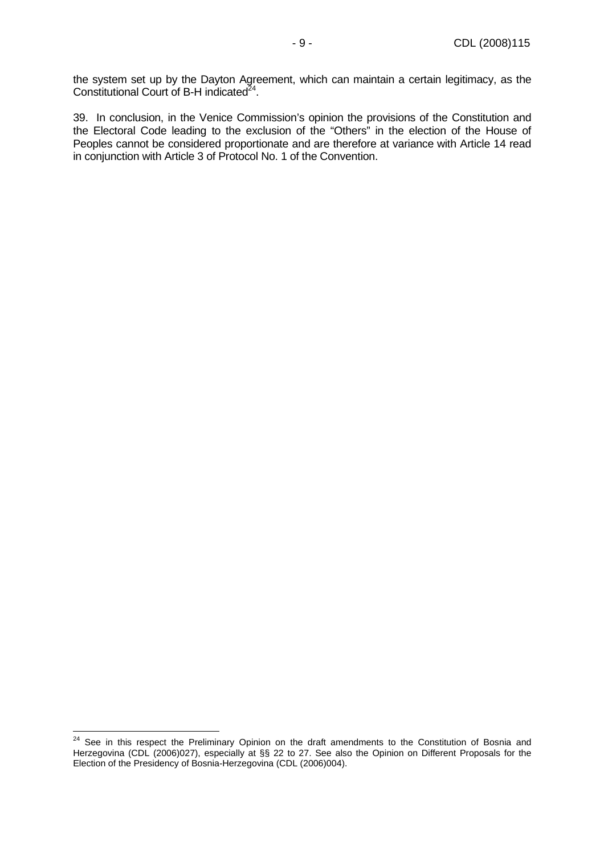the system set up by the Dayton Agreement, which can maintain a certain legitimacy, as the Constitutional Court of B-H indicated $^{24}$ .

39. In conclusion, in the Venice Commission's opinion the provisions of the Constitution and the Electoral Code leading to the exclusion of the "Others" in the election of the House of Peoples cannot be considered proportionate and are therefore at variance with Article 14 read in conjunction with Article 3 of Protocol No. 1 of the Convention.

 $\overline{a}$ 

<sup>&</sup>lt;sup>24</sup> See in this respect the Preliminary Opinion on the draft amendments to the Constitution of Bosnia and Herzegovina (CDL (2006)027), especially at §§ 22 to 27. See also the Opinion on Different Proposals for the Election of the Presidency of Bosnia-Herzegovina (CDL (2006)004).